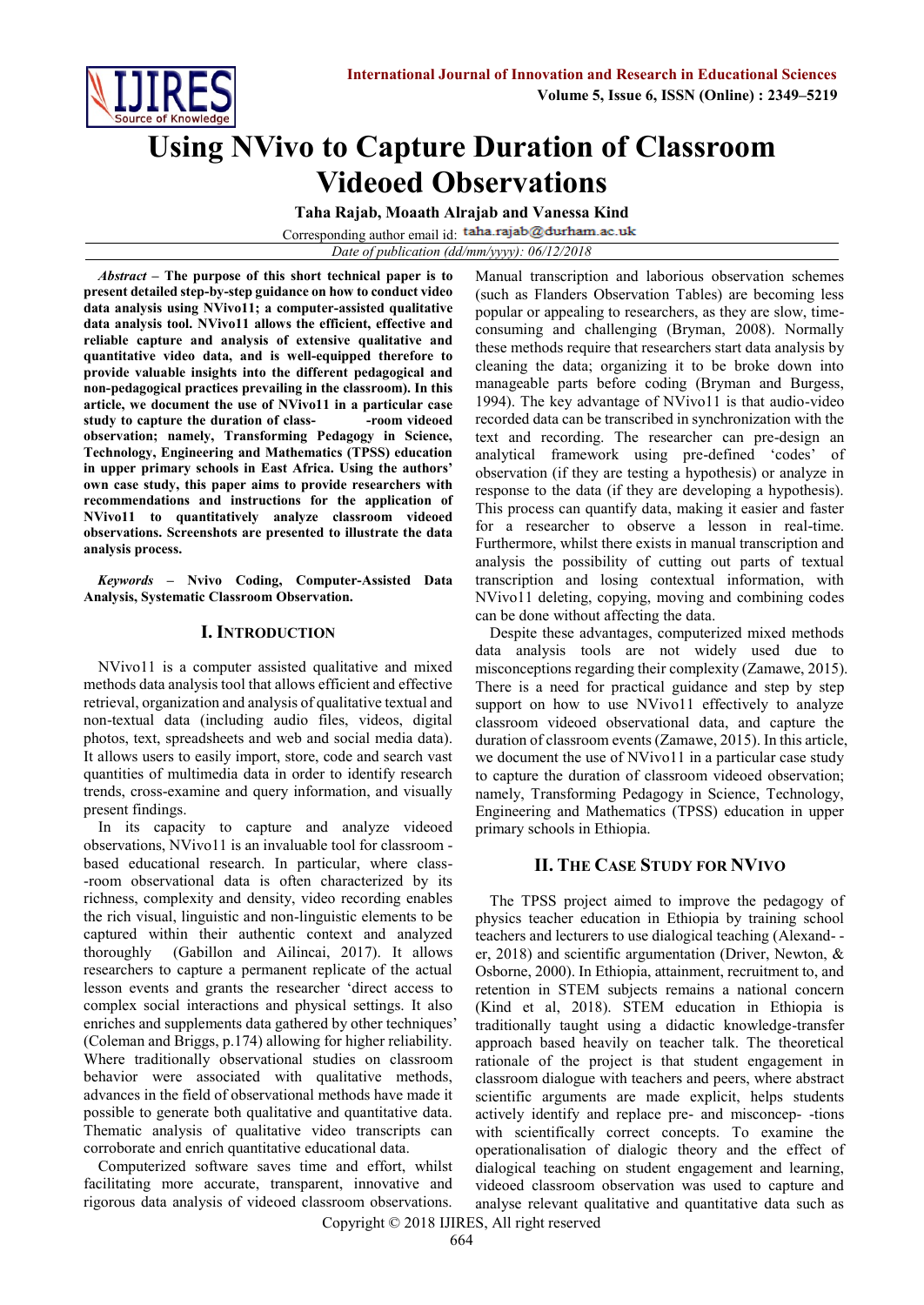

# **Using NVivo to Capture Duration of Classroom Videoed Observations**

**Taha Rajab, Moaath Alrajab and Vanessa Kind**

Corresponding author email id: taha.rajab@durham.ac.uk

*Date of publication (dd/mm/yyyy): 06/12/2018*

*Abstract* **– The purpose of this short technical paper is to present detailed step-by-step guidance on how to conduct video data analysis using NVivo11; a computer-assisted qualitative data analysis tool. NVivo11 allows the efficient, effective and reliable capture and analysis of extensive qualitative and quantitative video data, and is well-equipped therefore to provide valuable insights into the different pedagogical and non-pedagogical practices prevailing in the classroom). In this article, we document the use of NVivo11 in a particular case**  study to capture the duration of class-<br> **-room videoed observation; namely, Transforming Pedagogy in Science, Technology, Engineering and Mathematics (TPSS) education in upper primary schools in East Africa. Using the authors' own case study, this paper aims to provide researchers with recommendations and instructions for the application of NVivo11 to quantitatively analyze classroom videoed observations. Screenshots are presented to illustrate the data analysis process.**

*Keywords* **– Nvivo Coding, Computer-Assisted Data Analysis, Systematic Classroom Observation.** 

# **I. INTRODUCTION**

NVivo11 is a computer assisted qualitative and mixed methods data analysis tool that allows efficient and effective retrieval, organization and analysis of qualitative textual and non-textual data (including audio files, videos, digital photos, text, spreadsheets and web and social media data). It allows users to easily import, store, code and search vast quantities of multimedia data in order to identify research trends, cross-examine and query information, and visually present findings.

In its capacity to capture and analyze videoed observations, NVivo11 is an invaluable tool for classroom based educational research. In particular, where class- -room observational data is often characterized by its richness, complexity and density, video recording enables the rich visual, linguistic and non-linguistic elements to be captured within their authentic context and analyzed thoroughly (Gabillon and Ailincai, 2017). It allows researchers to capture a permanent replicate of the actual lesson events and grants the researcher 'direct access to complex social interactions and physical settings. It also enriches and supplements data gathered by other techniques' (Coleman and Briggs, p.174) allowing for higher reliability. Where traditionally observational studies on classroom behavior were associated with qualitative methods, advances in the field of observational methods have made it possible to generate both qualitative and quantitative data. Thematic analysis of qualitative video transcripts can corroborate and enrich quantitative educational data.

Computerized software saves time and effort, whilst facilitating more accurate, transparent, innovative and rigorous data analysis of videoed classroom observations.

Manual transcription and laborious observation schemes (such as Flanders Observation Tables) are becoming less popular or appealing to researchers, as they are slow, timeconsuming and challenging (Bryman, 2008). Normally these methods require that researchers start data analysis by cleaning the data; organizing it to be broke down into manageable parts before coding (Bryman and Burgess, 1994). The key advantage of NVivo11 is that audio-video recorded data can be transcribed in synchronization with the text and recording. The researcher can pre-design an analytical framework using pre-defined 'codes' of observation (if they are testing a hypothesis) or analyze in response to the data (if they are developing a hypothesis). This process can quantify data, making it easier and faster for a researcher to observe a lesson in real-time. Furthermore, whilst there exists in manual transcription and analysis the possibility of cutting out parts of textual transcription and losing contextual information, with NVivo11 deleting, copying, moving and combining codes can be done without affecting the data.

Despite these advantages, computerized mixed methods data analysis tools are not widely used due to misconceptions regarding their complexity (Zamawe, 2015). There is a need for practical guidance and step by step support on how to use NVivo11 effectively to analyze classroom videoed observational data, and capture the duration of classroom events (Zamawe, 2015). In this article, we document the use of NVivo11 in a particular case study to capture the duration of classroom videoed observation; namely, Transforming Pedagogy in Science, Technology, Engineering and Mathematics (TPSS) education in upper primary schools in Ethiopia.

# **II. THE CASE STUDY FOR NVIVO**

The TPSS project aimed to improve the pedagogy of physics teacher education in Ethiopia by training school teachers and lecturers to use dialogical teaching (Alexand- er, 2018) and scientific argumentation (Driver, Newton, & Osborne, 2000). In Ethiopia, attainment, recruitment to, and retention in STEM subjects remains a national concern (Kind et al, 2018). STEM education in Ethiopia is traditionally taught using a didactic knowledge-transfer approach based heavily on teacher talk. The theoretical rationale of the project is that student engagement in classroom dialogue with teachers and peers, where abstract scientific arguments are made explicit, helps students actively identify and replace pre- and misconcep- -tions with scientifically correct concepts. To examine the operationalisation of dialogic theory and the effect of dialogical teaching on student engagement and learning, videoed classroom observation was used to capture and analyse relevant qualitative and quantitative data such as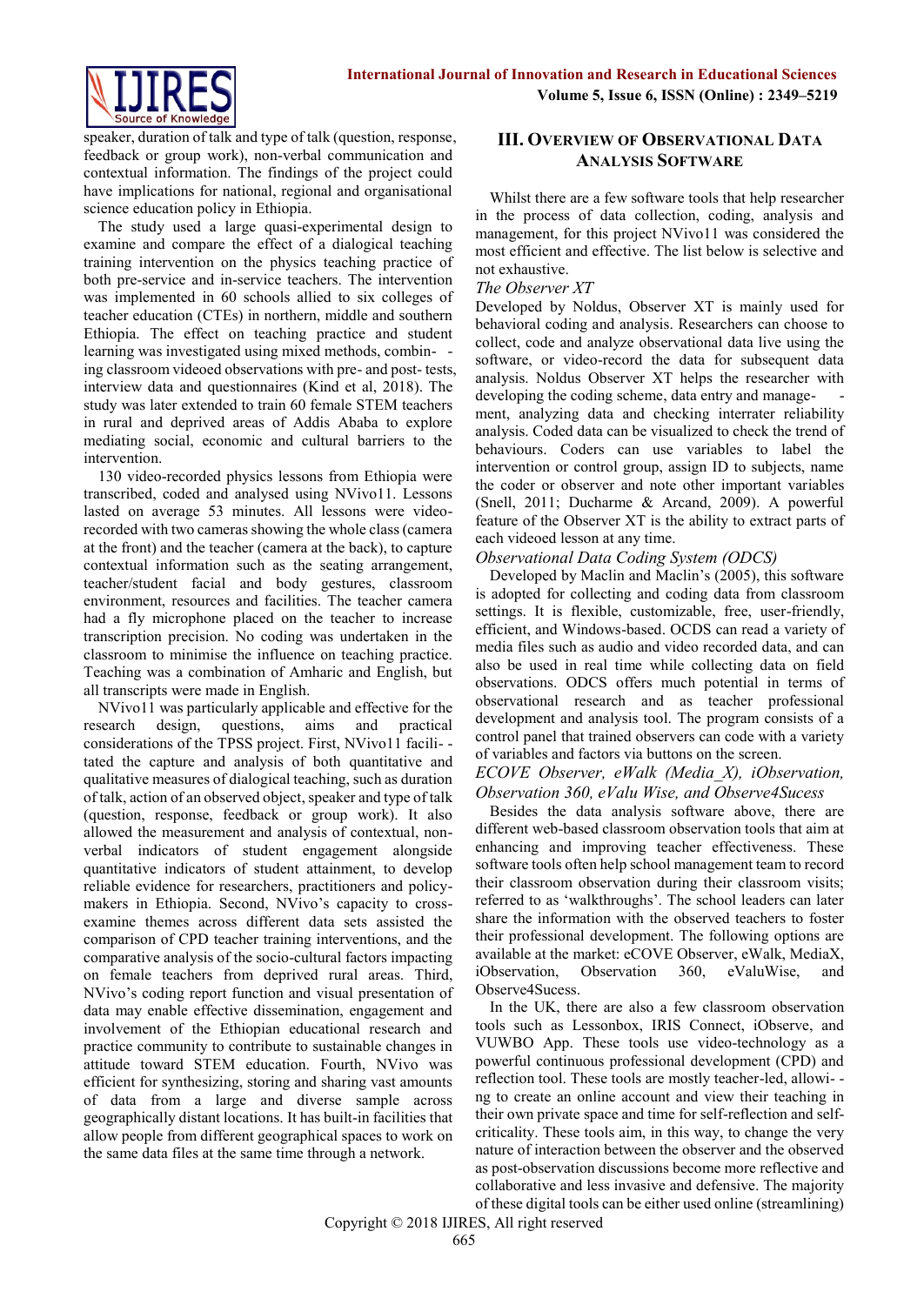

speaker, duration of talk and type of talk (question, response, feedback or group work), non-verbal communication and contextual information. The findings of the project could have implications for national, regional and organisational science education policy in Ethiopia.

The study used a large quasi-experimental design to examine and compare the effect of a dialogical teaching training intervention on the physics teaching practice of both pre-service and in-service teachers. The intervention was implemented in 60 schools allied to six colleges of teacher education (CTEs) in northern, middle and southern Ethiopia. The effect on teaching practice and student learning was investigated using mixed methods, combin- ing classroom videoed observations with pre- and post- tests, interview data and questionnaires (Kind et al, 2018). The study was later extended to train 60 female STEM teachers in rural and deprived areas of Addis Ababa to explore mediating social, economic and cultural barriers to the intervention.

130 video-recorded physics lessons from Ethiopia were transcribed, coded and analysed using NVivo11. Lessons lasted on average 53 minutes. All lessons were videorecorded with two cameras showing the whole class (camera at the front) and the teacher (camera at the back), to capture contextual information such as the seating arrangement, teacher/student facial and body gestures, classroom environment, resources and facilities. The teacher camera had a fly microphone placed on the teacher to increase transcription precision. No coding was undertaken in the classroom to minimise the influence on teaching practice. Teaching was a combination of Amharic and English, but all transcripts were made in English.

NVivo11 was particularly applicable and effective for the research design, questions, aims and practical considerations of the TPSS project. First, NVivo11 facili- tated the capture and analysis of both quantitative and qualitative measures of dialogical teaching, such as duration of talk, action of an observed object, speaker and type of talk (question, response, feedback or group work). It also allowed the measurement and analysis of contextual, nonverbal indicators of student engagement alongside quantitative indicators of student attainment, to develop reliable evidence for researchers, practitioners and policymakers in Ethiopia. Second, NVivo's capacity to crossexamine themes across different data sets assisted the comparison of CPD teacher training interventions, and the comparative analysis of the socio-cultural factors impacting on female teachers from deprived rural areas. Third, NVivo's coding report function and visual presentation of data may enable effective dissemination, engagement and involvement of the Ethiopian educational research and practice community to contribute to sustainable changes in attitude toward STEM education. Fourth, NVivo was efficient for synthesizing, storing and sharing vast amounts of data from a large and diverse sample across geographically distant locations. It has built-in facilities that allow people from different geographical spaces to work on the same data files at the same time through a network.

# **III. OVERVIEW OF OBSERVATIONAL DATA ANALYSIS SOFTWARE**

Whilst there are a few software tools that help researcher in the process of data collection, coding, analysis and management, for this project NVivo11 was considered the most efficient and effective. The list below is selective and not exhaustive.

#### *The Observer XT*

Developed by Noldus, Observer XT is mainly used for behavioral coding and analysis. Researchers can choose to collect, code and analyze observational data live using the software, or video-record the data for subsequent data analysis. Noldus Observer XT helps the researcher with developing the coding scheme, data entry and management, analyzing data and checking interrater reliability analysis. Coded data can be visualized to check the trend of behaviours. Coders can use variables to label the intervention or control group, assign ID to subjects, name the coder or observer and note other important variables (Snell, 2011; Ducharme & Arcand, 2009). A powerful feature of the Observer XT is the ability to extract parts of each videoed lesson at any time.

## *Observational Data Coding System (ODCS)*

Developed by Maclin and Maclin's (2005), this software is adopted for collecting and coding data from classroom settings. It is flexible, customizable, free, user-friendly, efficient, and Windows-based. OCDS can read a variety of media files such as audio and video recorded data, and can also be used in real time while collecting data on field observations. ODCS offers much potential in terms of observational research and as teacher professional development and analysis tool. The program consists of a control panel that trained observers can code with a variety of variables and factors via buttons on the screen.

#### *ECOVE Observer, eWalk (Media\_X), iObservation, Observation 360, eValu Wise, and Observe4Sucess*

Besides the data analysis software above, there are different web-based classroom observation tools that aim at enhancing and improving teacher effectiveness. These software tools often help school management team to record their classroom observation during their classroom visits; referred to as 'walkthroughs'. The school leaders can later share the information with the observed teachers to foster their professional development. The following options are available at the market: eCOVE Observer, eWalk, MediaX, iObservation, Observation 360, eValuWise, and Observe4Sucess.

In the UK, there are also a few classroom observation tools such as Lessonbox, IRIS Connect, iObserve, and VUWBO App. These tools use video-technology as a powerful continuous professional development (CPD) and reflection tool. These tools are mostly teacher-led, allowi- ng to create an online account and view their teaching in their own private space and time for self-reflection and selfcriticality. These tools aim, in this way, to change the very nature of interaction between the observer and the observed as post-observation discussions become more reflective and collaborative and less invasive and defensive. The majority of these digital tools can be either used online (streamlining)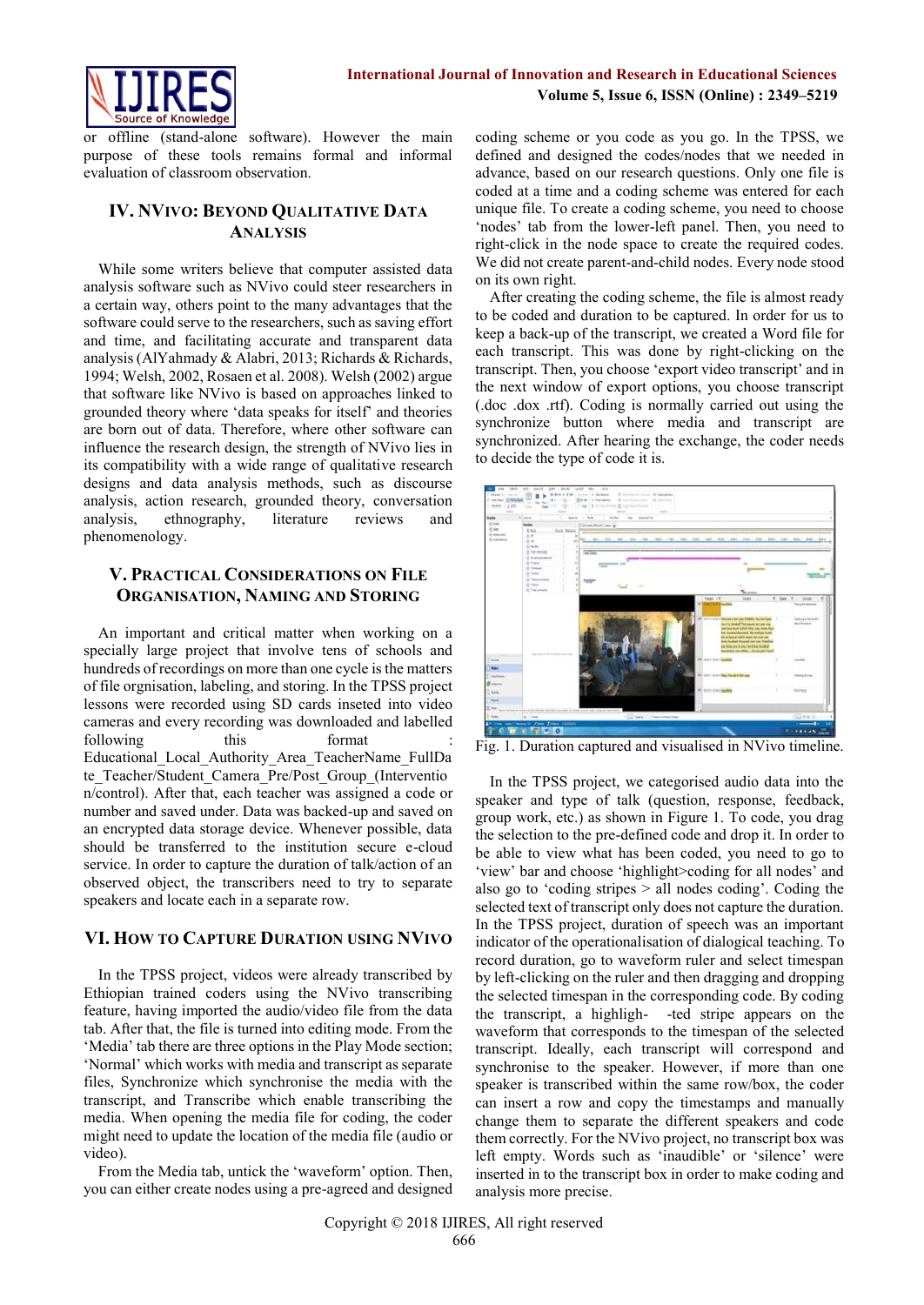

offline (stand-alone software). However the main purpose of these tools remains formal and informal evaluation of classroom observation.

# **IV. NVIVO: BEYOND QUALITATIVE DATA ANALYSIS**

While some writers believe that computer assisted data analysis software such as NVivo could steer researchers in a certain way, others point to the many advantages that the software could serve to the researchers, such as saving effort and time, and facilitating accurate and transparent data analysis (AlYahmady & Alabri, 2013; Richards & Richards, 1994; Welsh, 2002, Rosaen et al. 2008). Welsh (2002) argue that software like NVivo is based on approaches linked to grounded theory where 'data speaks for itself' and theories are born out of data. Therefore, where other software can influence the research design, the strength of NVivo lies in its compatibility with a wide range of qualitative research designs and data analysis methods, such as discourse analysis, action research, grounded theory, conversation analysis, ethnography, literature reviews and phenomenology.

# **V. PRACTICAL CONSIDERATIONS ON FILE ORGANISATION, NAMING AND STORING**

An important and critical matter when working on a specially large project that involve tens of schools and hundreds of recordings on more than one cycle is the matters of file orgnisation, labeling, and storing. In the TPSS project lessons were recorded using SD cards inseted into video cameras and every recording was downloaded and labelled following this format Educational\_Local\_Authority\_Area\_TeacherName\_FullDa te Teacher/Student Camera Pre/Post Group (Interventio n/control). After that, each teacher was assigned a code or number and saved under. Data was backed-up and saved on an encrypted data storage device. Whenever possible, data should be transferred to the institution secure e-cloud service. In order to capture the duration of talk/action of an observed object, the transcribers need to try to separate speakers and locate each in a separate row.

# **VI. HOW TO CAPTURE DURATION USING NVIVO**

In the TPSS project, videos were already transcribed by Ethiopian trained coders using the NVivo transcribing feature, having imported the audio/video file from the data tab. After that, the file is turned into editing mode. From the 'Media' tab there are three options in the Play Mode section; 'Normal' which works with media and transcript as separate files, Synchronize which synchronise the media with the transcript, and Transcribe which enable transcribing the media. When opening the media file for coding, the coder might need to update the location of the media file (audio or video).

From the Media tab, untick the 'waveform' option. Then, you can either create nodes using a pre-agreed and designed

coding scheme or you code as you go. In the TPSS, we defined and designed the codes/nodes that we needed in advance, based on our research questions. Only one file is coded at a time and a coding scheme was entered for each unique file. To create a coding scheme, you need to choose 'nodes' tab from the lower-left panel. Then, you need to right-click in the node space to create the required codes. We did not create parent-and-child nodes. Every node stood on its own right.

After creating the coding scheme, the file is almost ready to be coded and duration to be captured. In order for us to keep a back-up of the transcript, we created a Word file for each transcript. This was done by right-clicking on the transcript. Then, you choose 'export video transcript' and in the next window of export options, you choose transcript (.doc .dox .rtf). Coding is normally carried out using the synchronize button where media and transcript are synchronized. After hearing the exchange, the coder needs to decide the type of code it is.



Fig. 1. Duration captured and visualised in NVivo timeline.

In the TPSS project, we categorised audio data into the speaker and type of talk (question, response, feedback, group work, etc.) as shown in Figure 1. To code, you drag the selection to the pre-defined code and drop it. In order to be able to view what has been coded, you need to go to 'view' bar and choose 'highlight>coding for all nodes' and also go to 'coding stripes > all nodes coding'. Coding the selected text of transcript only does not capture the duration. In the TPSS project, duration of speech was an important indicator of the operationalisation of dialogical teaching. To record duration, go to waveform ruler and select timespan by left-clicking on the ruler and then dragging and dropping the selected timespan in the corresponding code. By coding the transcript, a highligh- -ted stripe appears on the waveform that corresponds to the timespan of the selected transcript. Ideally, each transcript will correspond and synchronise to the speaker. However, if more than one speaker is transcribed within the same row/box, the coder can insert a row and copy the timestamps and manually change them to separate the different speakers and code them correctly. For the NVivo project, no transcript box was left empty. Words such as 'inaudible' or 'silence' were inserted in to the transcript box in order to make coding and analysis more precise.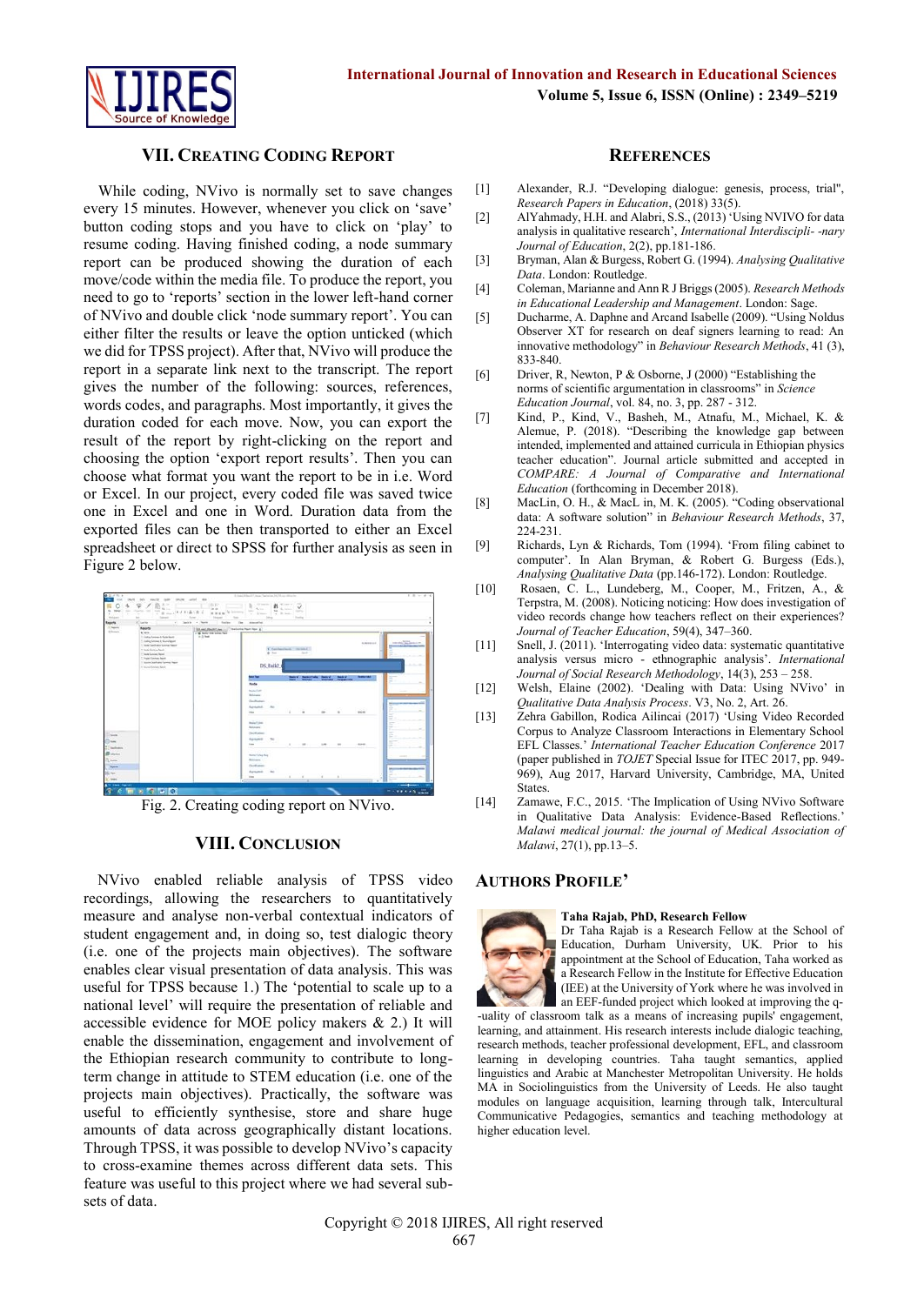

# **VII. CREATING CODING REPORT**

While coding, NVivo is normally set to save changes every 15 minutes. However, whenever you click on 'save' button coding stops and you have to click on 'play' to resume coding. Having finished coding, a node summary report can be produced showing the duration of each move/code within the media file. To produce the report, you need to go to 'reports' section in the lower left-hand corner of NVivo and double click 'node summary report'. You can either filter the results or leave the option unticked (which we did for TPSS project). After that, NVivo will produce the report in a separate link next to the transcript. The report gives the number of the following: sources, references, words codes, and paragraphs. Most importantly, it gives the duration coded for each move. Now, you can export the result of the report by right-clicking on the report and choosing the option 'export report results'. Then you can choose what format you want the report to be in i.e. Word or Excel. In our project, every coded file was saved twice one in Excel and one in Word. Duration data from the exported files can be then transported to either an Excel spreadsheet or direct to SPSS for further analysis as seen in Figure 2 below.



Fig. 2. Creating coding report on NVivo.

## **VIII. CONCLUSION**

NVivo enabled reliable analysis of TPSS video recordings, allowing the researchers to quantitatively measure and analyse non-verbal contextual indicators of student engagement and, in doing so, test dialogic theory (i.e. one of the projects main objectives). The software enables clear visual presentation of data analysis. This was useful for TPSS because 1.) The 'potential to scale up to a national level' will require the presentation of reliable and accessible evidence for MOE policy makers & 2.) It will enable the dissemination, engagement and involvement of the Ethiopian research community to contribute to longterm change in attitude to STEM education (i.e. one of the projects main objectives). Practically, the software was useful to efficiently synthesise, store and share huge amounts of data across geographically distant locations. Through TPSS, it was possible to develop NVivo's capacity to cross-examine themes across different data sets. This feature was useful to this project where we had several subsets of data.

#### **REFERENCES**

- [1] Alexander, R.J. "Developing dialogue: genesis, process, trial", *Research Papers in Education*, (2018) 33(5).
- [2] AlYahmady, H.H. and Alabri, S.S., (2013) 'Using NVIVO for data analysis in qualitative research', *International Interdiscipli- -nary Journal of Education*, 2(2), pp.181-186.
- [3] Bryman, Alan & Burgess, Robert G. (1994). *Analysing Qualitative Data*. London: Routledge.
- [4] Coleman, Marianne and Ann R J Briggs (2005). *Research Methods in Educational Leadership and Management*. London: Sage.
- [5] Ducharme, A. Daphne and Arcand Isabelle (2009). "Using Noldus Observer XT for research on deaf signers learning to read: An innovative methodology" in *Behaviour Research Methods*, 41 (3), 833-840.
- [6] Driver, R, Newton, P & Osborne, J (2000) "Establishing the norms of scientific argumentation in classrooms" in *Science Education Journal*, vol. 84, no. 3, pp. 287 - 312.
- [7] Kind, P., Kind, V., Basheh, M., Atnafu, M., Michael, K. & Alemue, P. (2018). "Describing the knowledge gap between intended, implemented and attained curricula in Ethiopian physics teacher education". Journal article submitted and accepted in *COMPARE: A Journal of Comparative and International Education* (forthcoming in December 2018).
- [8] MacLin, O. H., & MacL in, M. K. (2005). "Coding observational data: A software solution" in *Behaviour Research Methods*, 37, 224-231.
- [9] Richards, Lyn & Richards, Tom (1994). 'From filing cabinet to computer'. In Alan Bryman, & Robert G. Burgess (Eds.), *Analysing Qualitative Data* (pp.146-172). London: Routledge.
- [10] Rosaen, C. L., Lundeberg, M., Cooper, M., Fritzen, A., & Terpstra, M. (2008). Noticing noticing: How does investigation of video records change how teachers reflect on their experiences? *Journal of Teacher Education*, 59(4), 347–360.
- [11] Snell, J. (2011). 'Interrogating video data: systematic quantitative analysis versus micro - ethnographic analysis'. *International Journal of Social Research Methodology*, 14(3), 253 – 258.
- [12] Welsh, Elaine (2002). 'Dealing with Data: Using NVivo' in *Qualitative Data Analysis Process*. V3, No. 2, Art. 26.
- [13] Zehra Gabillon, Rodica Ailincai (2017) 'Using Video Recorded Corpus to Analyze Classroom Interactions in Elementary School EFL Classes.' *International Teacher Education Conference* 2017 (paper published in *TOJET* Special Issue for ITEC 2017, pp. 949- 969), Aug 2017, Harvard University, Cambridge, MA, United States.
- [14] Zamawe, F.C., 2015. 'The Implication of Using NVivo Software in Qualitative Data Analysis: Evidence-Based Reflections. *Malawi medical journal: the journal of Medical Association of Malawi*, 27(1), pp.13–5.

#### **AUTHORS PROFILE'**



#### **Taha Rajab, PhD, Research Fellow**

Dr Taha Rajab is a Research Fellow at the School of Education, Durham University, UK. Prior to his appointment at the School of Education, Taha worked as a Research Fellow in the Institute for Effective Education (IEE) at the University of York where he was involved in an EEF-funded project which looked at improving the q-

-uality of classroom talk as a means of increasing pupils' engagement, learning, and attainment. His research interests include dialogic teaching, research methods, teacher professional development, EFL, and classroom learning in developing countries. Taha taught semantics, applied linguistics and Arabic at Manchester Metropolitan University. He holds MA in Sociolinguistics from the University of Leeds. He also taught modules on language acquisition, learning through talk, Intercultural Communicative Pedagogies, semantics and teaching methodology at higher education level.